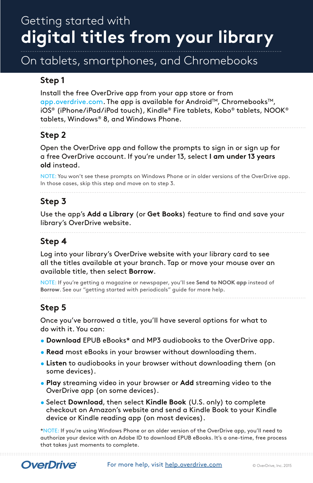# Getting started with **digital titles from your library**

## On tablets, smartphones, and Chromebooks

### **Step 1**

Install the free OverDrive app from your app store or from app.overdrive.com. The app is available for Android™, Chromebooks™, iOS® (iPhone/iPad/iPod touch), Kindle® Fire tablets, Kobo® tablets, NOOK® tablets, Windows® 8, and Windows Phone.

**Step 2**

Open the OverDrive app and follow the prompts to sign in or sign up for a free OverDrive account. If you're under 13, select **I am under 13 years old** instead.

NOTE: You won't see these prompts on Windows Phone or in older versions of the OverDrive app. In those cases, skip this step and move on to step 3.

#### **Step 3**

Use the app's **Add a Library** (or **Get Books**) feature to find and save your library's OverDrive website.

#### **Step 4**

Log into your library's OverDrive website with your library card to see all the titles available at your branch. Tap or move your mouse over an available title, then select **Borrow**.

NOTE: If you're getting a magazine or newspaper, you'll see **Send to NOOK app** instead of **Borrow**. See our "getting started with periodicals" guide for more help.

### **Step 5**

Once you've borrowed a title, you'll have several options for what to do with it. You can:

- **Download** EPUB eBooks\* and MP3 audiobooks to the OverDrive app.
- **Read** most eBooks in your browser without downloading them.
- **Listen** to audiobooks in your browser without downloading them (on some devices).
- **Play** streaming video in your browser or **Add** streaming video to the OverDrive app (on some devices).
- Select **Download**, then select **Kindle Book** (U.S. only) to complete checkout on Amazon's website and send a Kindle Book to your Kindle device or Kindle reading app (on most devices).

\*NOTE: If you're using Windows Phone or an older version of the OverDrive app, you'll need to authorize your device with an Adobe ID to download EPUB eBooks. It's a one-time, free process that takes just moments to complete.